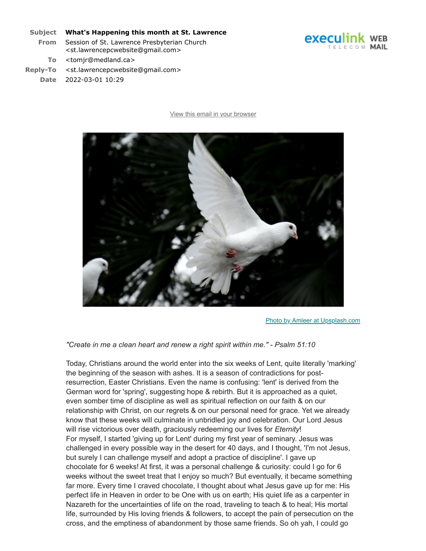#### **Subject What's Happening this month at St. Lawrence**

- **From** Session of St. Lawrence Presbyterian Church <st.lawrencepcwebsite@gmail.com>
	- **To** <tomjr@medland.ca>
- **Reply-To** <st.lawrencepcwebsite@gmail.com> **Date** 2022-03-01 10:29

[View this email in your browser](https://mailchi.mp/2c5a50268c87/this-week-at-st-lawrence-brand-new-emails-13596853?e=45f82213de)



[Photo by Amleer at Upsplash.com](https://stlawrencepc.us17.list-manage.com/track/click?u=37401f410cf3e6894fd5fcdd7&id=821a38681d&e=45f82213de)

*"Create in me a clean heart and renew a right spirit within me." - Psalm 51:10*

Today, Christians around the world enter into the six weeks of Lent, quite literally 'marking' the beginning of the season with ashes. It is a season of contradictions for postresurrection, Easter Christians. Even the name is confusing: 'lent' is derived from the German word for 'spring', suggesting hope & rebirth. But it is approached as a quiet, even somber time of discipline as well as spiritual reflection on our faith & on our relationship with Christ, on our regrets & on our personal need for grace. Yet we already know that these weeks will culminate in unbridled joy and celebration. Our Lord Jesus will rise victorious over death, graciously redeeming our lives for *Eternity*! For myself, I started 'giving up for Lent' during my first year of seminary. Jesus was challenged in every possible way in the desert for 40 days, and I thought, 'I'm not Jesus, but surely I can challenge myself and adopt a practice of discipline'. I gave up chocolate for 6 weeks! At first, it was a personal challenge & curiosity: could I go for 6 weeks without the sweet treat that I enjoy so much? But eventually, it became something far more. Every time I craved chocolate, I thought about what Jesus gave up for me: His perfect life in Heaven in order to be One with us on earth; His quiet life as a carpenter in Nazareth for the uncertainties of life on the road, traveling to teach & to heal; His mortal life, surrounded by His loving friends & followers, to accept the pain of persecution on the cross, and the emptiness of abandonment by those same friends. So oh yah, I could go

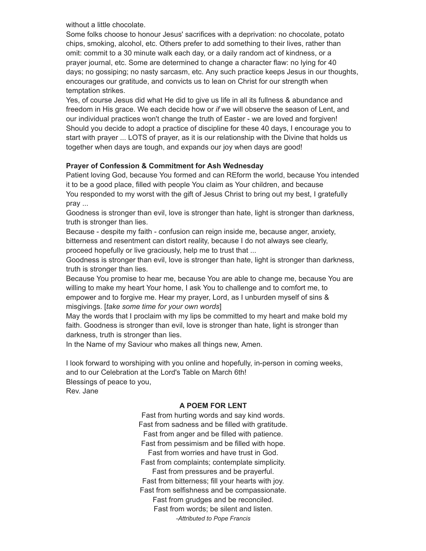without a little chocolate.

Some folks choose to honour Jesus' sacrifices with a deprivation: no chocolate, potato chips, smoking, alcohol, etc. Others prefer to add something to their lives, rather than omit: commit to a 30 minute walk each day, or a daily random act of kindness, or a prayer journal, etc. Some are determined to change a character flaw: no lying for 40 days; no gossiping; no nasty sarcasm, etc. Any such practice keeps Jesus in our thoughts, encourages our gratitude, and convicts us to lean on Christ for our strength when temptation strikes.

Yes, of course Jesus did what He did to give us life in all its fullness & abundance and freedom in His grace. We each decide how or *if* we will observe the season of Lent, and our individual practices won't change the truth of Easter - we are loved and forgiven! Should you decide to adopt a practice of discipline for these 40 days, I encourage you to start with prayer ... LOTS of prayer, as it is our relationship with the Divine that holds us together when days are tough, and expands our joy when days are good!

## **Prayer of Confession & Commitment for Ash Wednesday**

Patient loving God, because You formed and can REform the world, because You intended it to be a good place, filled with people You claim as Your children, and because You responded to my worst with the gift of Jesus Christ to bring out my best, I gratefully pray ...

Goodness is stronger than evil, love is stronger than hate, light is stronger than darkness, truth is stronger than lies.

Because - despite my faith - confusion can reign inside me, because anger, anxiety, bitterness and resentment can distort reality, because I do not always see clearly, proceed hopefully or live graciously, help me to trust that ...

Goodness is stronger than evil, love is stronger than hate, light is stronger than darkness, truth is stronger than lies.

Because You promise to hear me, because You are able to change me, because You are willing to make my heart Your home, I ask You to challenge and to comfort me, to empower and to forgive me. Hear my prayer, Lord, as I unburden myself of sins & misgivings. [*take some time for your own words*]

May the words that I proclaim with my lips be committed to my heart and make bold my faith. Goodness is stronger than evil, love is stronger than hate, light is stronger than darkness, truth is stronger than lies.

In the Name of my Saviour who makes all things new, Amen.

I look forward to worshiping with you online and hopefully, in-person in coming weeks, and to our Celebration at the Lord's Table on March 6th! Blessings of peace to you,

Rev. Jane

### **A POEM FOR LENT**

Fast from hurting words and say kind words. Fast from sadness and be filled with gratitude. Fast from anger and be filled with patience. Fast from pessimism and be filled with hope. Fast from worries and have trust in God. Fast from complaints; contemplate simplicity. Fast from pressures and be prayerful. Fast from bitterness; fill your hearts with joy. Fast from selfishness and be compassionate. Fast from grudges and be reconciled. Fast from words; be silent and listen. *-Attributed to Pope Francis*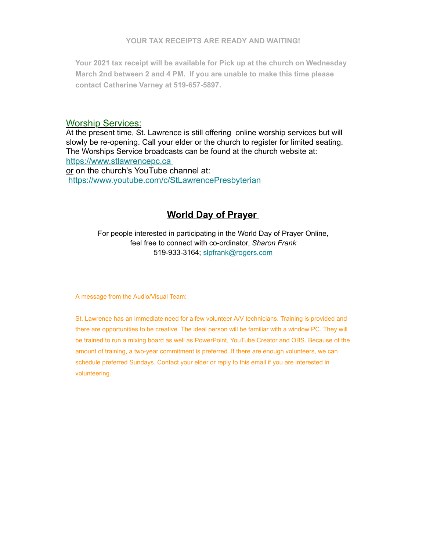**Your 2021 tax receipt will be available for Pick up at the church on Wednesday March 2nd between 2 and 4 PM. If you are unable to make this time please contact Catherine Varney at 519-657-5897.**

## Worship Services:

At the present time, St. Lawrence is still offering online worship services but will slowly be re-opening. Call your elder or the church to register for limited seating. The Worships Service broadcasts can be found at the church website at: [https://www.stlawrencepc.ca](https://stlawrencepc.us17.list-manage.com/track/click?u=37401f410cf3e6894fd5fcdd7&id=3b93f9ef07&e=45f82213de)

or on the church's YouTube channel at: [https://www.youtube.com/c/StLawrencePresbyterian](https://stlawrencepc.us17.list-manage.com/track/click?u=37401f410cf3e6894fd5fcdd7&id=227fc4c4f2&e=45f82213de)

# **World Day of Prayer**

For people interested in participating in the World Day of Prayer Online, feel free to connect with co-ordinator, *Sharon Frank* 519-933-3164; [slpfrank@rogers.com](mailto:slpfrank@rogers.com)

A message from the Audio/Visual Team:

St. Lawrence has an immediate need for a few volunteer A/V technicians. Training is provided and there are opportunities to be creative. The ideal person will be familiar with a window PC. They will be trained to run a mixing board as well as PowerPoint, YouTube Creator and OBS. Because of the amount of training, a two-year commitment is preferred. If there are enough volunteers, we can schedule preferred Sundays. Contact your elder or reply to this email if you are interested in volunteering.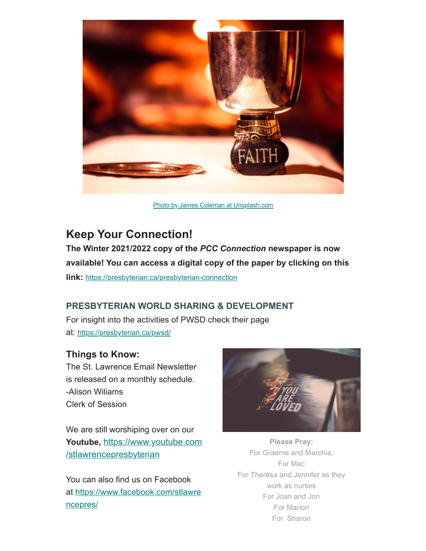

[Photo by James Coleman at Unsplash.com](https://stlawrencepc.us17.list-manage.com/track/click?u=37401f410cf3e6894fd5fcdd7&id=da8e6f06a5&e=45f82213de)

# **Keep Your Connection!**

**The Winter 2021/2022 copy of the** *PCC Connection* **newspaper is now available! You can access a digital copy of the paper by clicking on this link:** [https://presbyterian.ca/presbyterian-connection](https://stlawrencepc.us17.list-manage.com/track/click?u=37401f410cf3e6894fd5fcdd7&id=4640e73435&e=45f82213de)

# **PRESBYTERIAN WORLD SHARING & DEVELOPMENT**

For insight into the activities of PWSD check their page at: [https://presbyterian.ca/pwsd/](https://stlawrencepc.us17.list-manage.com/track/click?u=37401f410cf3e6894fd5fcdd7&id=36de6b4965&e=45f82213de)

# **Things to Know:**

The St. Lawrence Email Newsletter is released on a monthly schedule. -Alison Wiliams Clerk of Session

We are still worshiping over on our **Youtube,** [https://www.youtube.com](https://stlawrencepc.us17.list-manage.com/track/click?u=37401f410cf3e6894fd5fcdd7&id=ed8500a492&e=45f82213de) /stlawrencepresbyterian

You can also find us on Facebook at [https://www.facebook.com/stlawre](https://stlawrencepc.us17.list-manage.com/track/click?u=37401f410cf3e6894fd5fcdd7&id=243c23c974&e=45f82213de) ncepres/



**Please Pray:** For Graeme and Marchia, For Mac For Theresa and Jennifer as they work as nurses For Joan and Jon For Marion For Sharon